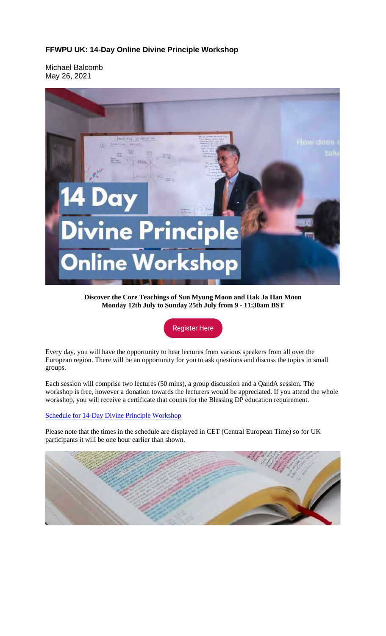## **FFWPU UK: 14-Day Online Divine Principle Workshop**

Michael Balcomb May 26, 2021



**Discover the Core Teachings of Sun Myung Moon and Hak Ja Han Moon Monday 12th July to Sunday 25th July from 9 - 11:30am BST**

**Register Here** 

Every day, you will have the opportunity to hear lectures from various speakers from all over the European region. There will be an opportunity for you to ask questions and discuss the topics in small groups.

Each session will comprise two lectures (50 mins), a group discussion and a QandA session. The workshop is free, however a donation towards the lecturers would be appreciated. If you attend the whole workshop, you will receive a certificate that counts for the Blessing DP education requirement.

## Schedule for 14-Day Divine Principle Workshop

Please note that the times in the schedule are displayed in CET (Central European Time) so for UK participants it will be one hour earlier than shown.

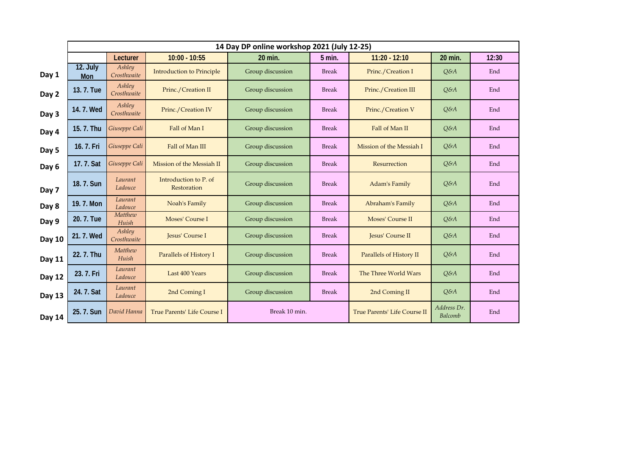|        | 14 Day DP online workshop 2021 (July 12-25) |                       |                                      |                  |              |                              |                        |       |
|--------|---------------------------------------------|-----------------------|--------------------------------------|------------------|--------------|------------------------------|------------------------|-------|
|        |                                             | Lecturer              | $10:00 - 10:55$                      | 20 min.          | 5 min.       | $11:20 - 12:10$              | 20 min.                | 12:30 |
| Day 1  | 12. July<br>Mon                             | Ashley<br>Crosthwaite | <b>Introduction to Principle</b>     | Group discussion | <b>Break</b> | Princ./Creation I            | $Q\&A$                 | End   |
| Day 2  | 13. 7. Tue                                  | Ashley<br>Crosthwaite | Princ./Creation II                   | Group discussion | <b>Break</b> | Princ./Creation III          | $Q\&A$                 | End   |
| Day 3  | 14.7. Wed                                   | Ashley<br>Crosthwaite | Princ./Creation IV                   | Group discussion | <b>Break</b> | Princ./Creation V            | $Q\&A$                 | End   |
| Day 4  | 15. 7. Thu                                  | Giuseppe Cali         | Fall of Man I                        | Group discussion | <b>Break</b> | Fall of Man II               | $Q\&A$                 | End   |
| Day 5  | 16. 7. Fri                                  | Giuseppe Cali         | Fall of Man III                      | Group discussion | <b>Break</b> | Mission of the Messiah I     | $Q\&A$                 | End   |
| Day 6  | 17. 7. Sat                                  | Giuseppe Cali         | Mission of the Messiah II            | Group discussion | <b>Break</b> | Resurrection                 | $Q\&A$                 | End   |
| Day 7  | 18.7. Sun                                   | Laurant<br>Ladouce    | Introduction to P. of<br>Restoration | Group discussion | <b>Break</b> | Adam's Family                | $Q\&A$                 | End   |
| Day 8  | 19.7. Mon                                   | Laurant<br>Ladouce    | Noah's Family                        | Group discussion | <b>Break</b> | Abraham's Family             | $Q\&A$                 | End   |
| Day 9  | 20.7. Tue                                   | Matthew<br>Huish      | Moses' Course I                      | Group discussion | <b>Break</b> | Moses' Course II             | $Q\&A$                 | End   |
| Day 10 | 21.7. Wed                                   | Ashley<br>Crosthwaite | Jesus' Course I                      | Group discussion | <b>Break</b> | Jesus' Course II             | Q&A                    | End   |
| Day 11 | 22.7. Thu                                   | Matthew<br>Huish      | Parallels of History I               | Group discussion | <b>Break</b> | Parallels of History II      | Q&A                    | End   |
| Day 12 | 23.7. Fri                                   | Laurant<br>Ladouce    | Last 400 Years                       | Group discussion | <b>Break</b> | The Three World Wars         | Q&A                    | End   |
| Day 13 | 24. 7. Sat                                  | Laurant<br>Ladouce    | 2nd Coming I                         | Group discussion | <b>Break</b> | 2nd Coming II                | $Q\&A$                 | End   |
| Day 14 | 25.7. Sun                                   | David Hanna           | True Parents' Life Course I          | Break 10 min.    |              | True Parents' Life Course II | Address Dr.<br>Balcomb | End   |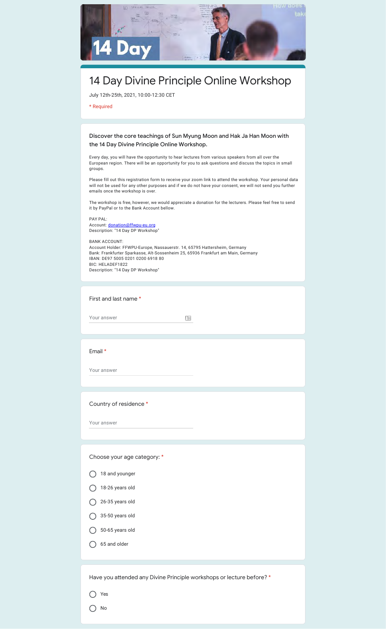

Your answer

 $\equiv$ 

Email \*

Your answer

Country of residence \*

Your answer

Choose your age category: \*

- 18 and younger
- $\bigcap$  18-26 years old
- $\bigcirc$  26-35 years old
- $\bigcirc$  35-50 years old
- $\bigcirc$  50-65 years old
- 65 and older

Have you attended any Divine Principle workshops or lecture before? \*

Yes

O No